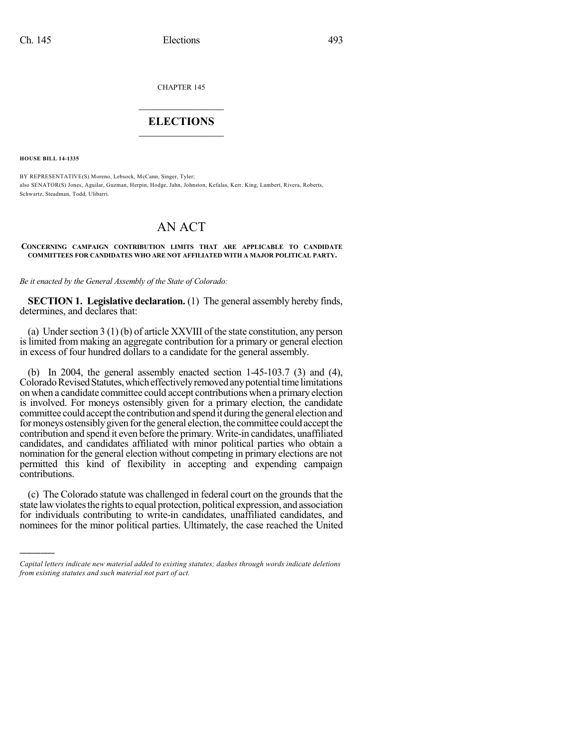CHAPTER 145

## $\overline{\phantom{a}}$  . The set of the set of the set of the set of the set of the set of the set of the set of the set of the set of the set of the set of the set of the set of the set of the set of the set of the set of the set o **ELECTIONS**  $\_$

**HOUSE BILL 14-1335**

)))))

BY REPRESENTATIVE(S) Moreno, Lebsock, McCann, Singer, Tyler; also SENATOR(S) Jones, Aguilar, Guzman, Herpin, Hodge, Jahn, Johnston, Kefalas, Kerr, King, Lambert, Rivera, Roberts, Schwartz, Steadman, Todd, Ulibarri.

## AN ACT

## **CONCERNING CAMPAIGN CONTRIBUTION LIMITS THAT ARE APPLICABLE TO CANDIDATE COMMITTEES FOR CANDIDATES WHO ARE NOT AFFILIATED WITH A MAJOR POLITICAL PARTY.**

*Be it enacted by the General Assembly of the State of Colorado:*

**SECTION 1. Legislative declaration.** (1) The general assembly hereby finds, determines, and declares that:

(a) Under section  $3(1)(b)$  of article XXVIII of the state constitution, any person is limited from making an aggregate contribution for a primary or general election in excess of four hundred dollars to a candidate for the general assembly.

(b) In 2004, the general assembly enacted section 1-45-103.7 (3) and (4), Colorado Revised Statutes, which effectively removed any potential time limitations on when a candidate committee could accept contributions when a primaryelection is involved. For moneys ostensibly given for a primary election, the candidate committee could accept the contribution and spend it during the general election and for moneys ostensibly given for the general election, the committee could accept the contribution and spend it even before the primary. Write-in candidates, unaffiliated candidates, and candidates affiliated with minor political parties who obtain a nomination for the general election without competing in primary elections are not permitted this kind of flexibility in accepting and expending campaign contributions.

(c) The Colorado statute was challenged in federal court on the groundsthat the state law violates the rights to equal protection, political expression, and association for individuals contributing to write-in candidates, unaffiliated candidates, and nominees for the minor political parties. Ultimately, the case reached the United

*Capital letters indicate new material added to existing statutes; dashes through words indicate deletions from existing statutes and such material not part of act.*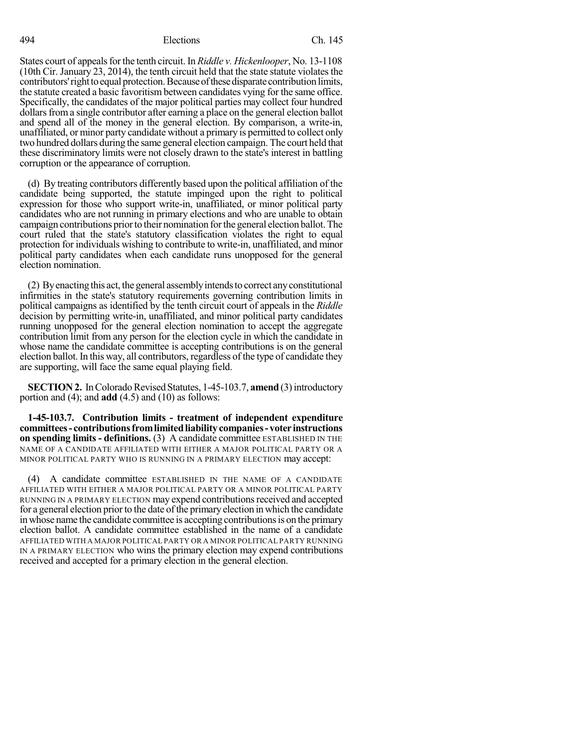494 Elections Ch. 145

States court of appeals for the tenth circuit. In *Riddle v. Hickenlooper*, No. 13-1108  $(10th$  Cir. January 23, 2014), the tenth circuit held that the state statute violates the contributors' right to equal protection. Because of these disparate contribution limits, the statute created a basic favoritism between candidates vying for the same office. Specifically, the candidates of the major political parties may collect four hundred dollars from a single contributor after earning a place on the general election ballot and spend all of the money in the general election. By comparison, a write-in, unaffiliated, or minor party candidate without a primary is permitted to collect only two hundred dollars during the same general election campaign. The court held that these discriminatory limits were not closely drawn to the state's interest in battling corruption or the appearance of corruption.

(d) By treating contributors differently based upon the political affiliation of the candidate being supported, the statute impinged upon the right to political expression for those who support write-in, unaffiliated, or minor political party candidates who are not running in primary elections and who are unable to obtain campaign contributions prior to their nomination for the general election ballot. The court ruled that the state's statutory classification violates the right to equal protection for individuals wishing to contribute to write-in, unaffiliated, and minor political party candidates when each candidate runs unopposed for the general election nomination.

(2) Byenacting this act, the general assemblyintendsto correct anyconstitutional infirmities in the state's statutory requirements governing contribution limits in political campaigns as identified by the tenth circuit court of appeals in the *Riddle* decision by permitting write-in, unaffiliated, and minor political party candidates running unopposed for the general election nomination to accept the aggregate contribution limit from any person for the election cycle in which the candidate in whose name the candidate committee is accepting contributions is on the general election ballot.In this way, all contributors, regardless of the type of candidate they are supporting, will face the same equal playing field.

**SECTION 2.** In Colorado Revised Statutes, 1-45-103.7, **amend** (3) introductory portion and (4); and **add** (4.5) and (10) as follows:

**1-45-103.7. Contribution limits - treatment of independent expenditure committees- contributionsfromlimitedliabilitycompanies- voter instructions on spending limits - definitions.** (3) A candidate committee ESTABLISHED IN THE NAME OF A CANDIDATE AFFILIATED WITH EITHER A MAJOR POLITICAL PARTY OR A MINOR POLITICAL PARTY WHO IS RUNNING IN A PRIMARY ELECTION may accept:

(4) A candidate committee ESTABLISHED IN THE NAME OF A CANDIDATE AFFILIATED WITH EITHER A MAJOR POLITICAL PARTY OR A MINOR POLITICAL PARTY RUNNING IN A PRIMARY ELECTION may expend contributionsreceived and accepted for a general election prior to the date of the primary election in which the candidate in whose name the candidate committee is accepting contributionsis on the primary election ballot. A candidate committee established in the name of a candidate AFFILIATED WITH A MAJOR POLITICAL PARTY OR A MINOR POLITICAL PARTY RUNNING IN A PRIMARY ELECTION who wins the primary election may expend contributions received and accepted for a primary election in the general election.